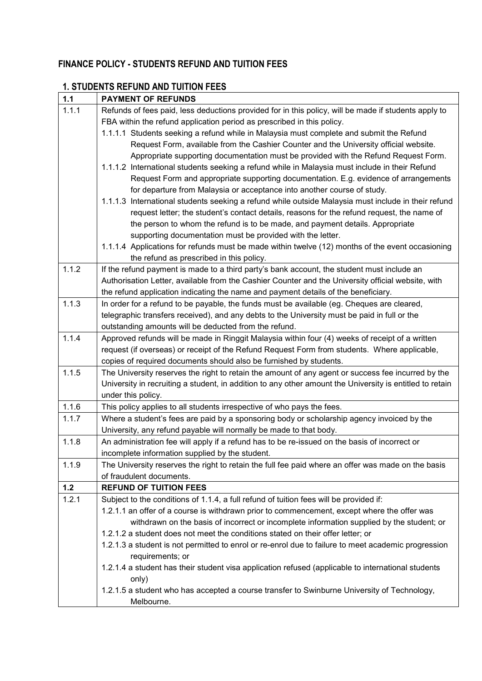# **FINANCE POLICY - STUDENTS REFUND AND TUITION FEES**

| $1.1$ | <b>PAYMENT OF REFUNDS</b>                                                                                |
|-------|----------------------------------------------------------------------------------------------------------|
| 1.1.1 | Refunds of fees paid, less deductions provided for in this policy, will be made if students apply to     |
|       | FBA within the refund application period as prescribed in this policy.                                   |
|       | 1.1.1.1 Students seeking a refund while in Malaysia must complete and submit the Refund                  |
|       | Request Form, available from the Cashier Counter and the University official website.                    |
|       | Appropriate supporting documentation must be provided with the Refund Request Form.                      |
|       | 1.1.1.2 International students seeking a refund while in Malaysia must include in their Refund           |
|       | Request Form and appropriate supporting documentation. E.g. evidence of arrangements                     |
|       | for departure from Malaysia or acceptance into another course of study.                                  |
|       | 1.1.1.3 International students seeking a refund while outside Malaysia must include in their refund      |
|       | request letter; the student's contact details, reasons for the refund request, the name of               |
|       | the person to whom the refund is to be made, and payment details. Appropriate                            |
|       | supporting documentation must be provided with the letter.                                               |
|       | 1.1.1.4 Applications for refunds must be made within twelve (12) months of the event occasioning         |
|       | the refund as prescribed in this policy.                                                                 |
| 1.1.2 | If the refund payment is made to a third party's bank account, the student must include an               |
|       | Authorisation Letter, available from the Cashier Counter and the University official website, with       |
|       | the refund application indicating the name and payment details of the beneficiary.                       |
| 1.1.3 | In order for a refund to be payable, the funds must be available (eg. Cheques are cleared,               |
|       | telegraphic transfers received), and any debts to the University must be paid in full or the             |
|       | outstanding amounts will be deducted from the refund.                                                    |
| 1.1.4 | Approved refunds will be made in Ringgit Malaysia within four (4) weeks of receipt of a written          |
|       | request (if overseas) or receipt of the Refund Request Form from students. Where applicable,             |
|       | copies of required documents should also be furnished by students.                                       |
| 1.1.5 | The University reserves the right to retain the amount of any agent or success fee incurred by the       |
|       | University in recruiting a student, in addition to any other amount the University is entitled to retain |
|       | under this policy.                                                                                       |
| 1.1.6 | This policy applies to all students irrespective of who pays the fees.                                   |
| 1.1.7 | Where a student's fees are paid by a sponsoring body or scholarship agency invoiced by the               |
|       | University, any refund payable will normally be made to that body.                                       |
| 1.1.8 | An administration fee will apply if a refund has to be re-issued on the basis of incorrect or            |
|       | incomplete information supplied by the student.                                                          |
| 1.1.9 | The University reserves the right to retain the full fee paid where an offer was made on the basis       |
|       | of fraudulent documents.                                                                                 |
| 1.2   | <b>REFUND OF TUITION FEES</b>                                                                            |
| 1.2.1 | Subject to the conditions of 1.1.4, a full refund of tuition fees will be provided if:                   |
|       | 1.2.1.1 an offer of a course is withdrawn prior to commencement, except where the offer was              |
|       | withdrawn on the basis of incorrect or incomplete information supplied by the student; or                |
|       | 1.2.1.2 a student does not meet the conditions stated on their offer letter; or                          |
|       | 1.2.1.3 a student is not permitted to enrol or re-enrol due to failure to meet academic progression      |
|       | requirements; or                                                                                         |
|       | 1.2.1.4 a student has their student visa application refused (applicable to international students       |
|       | only)<br>1.2.1.5 a student who has accepted a course transfer to Swinburne University of Technology,     |
|       | Melbourne.                                                                                               |
|       |                                                                                                          |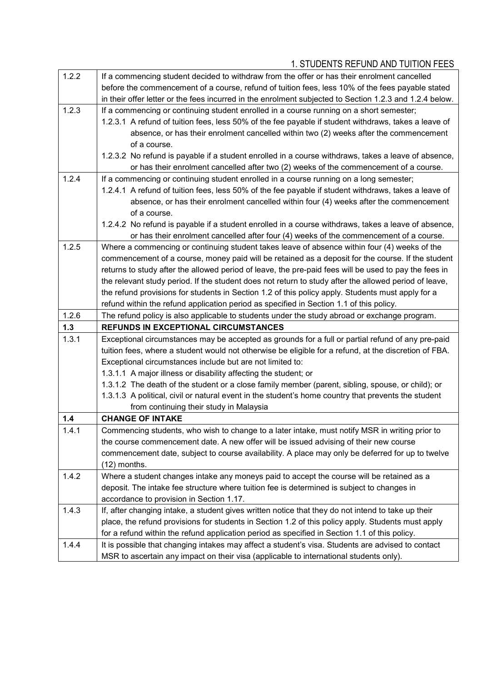| 1.2.2 | If a commencing student decided to withdraw from the offer or has their enrolment cancelled             |  |  |
|-------|---------------------------------------------------------------------------------------------------------|--|--|
|       | before the commencement of a course, refund of tuition fees, less 10% of the fees payable stated        |  |  |
|       | in their offer letter or the fees incurred in the enrolment subjected to Section 1.2.3 and 1.2.4 below. |  |  |
| 1.2.3 | If a commencing or continuing student enrolled in a course running on a short semester;                 |  |  |
|       | 1.2.3.1 A refund of tuition fees, less 50% of the fee payable if student withdraws, takes a leave of    |  |  |
|       | absence, or has their enrolment cancelled within two (2) weeks after the commencement                   |  |  |
|       | of a course.                                                                                            |  |  |
|       | 1.2.3.2 No refund is payable if a student enrolled in a course withdraws, takes a leave of absence,     |  |  |
|       | or has their enrolment cancelled after two (2) weeks of the commencement of a course.                   |  |  |
| 1.2.4 | If a commencing or continuing student enrolled in a course running on a long semester;                  |  |  |
|       | 1.2.4.1 A refund of tuition fees, less 50% of the fee payable if student withdraws, takes a leave of    |  |  |
|       | absence, or has their enrolment cancelled within four (4) weeks after the commencement                  |  |  |
|       | of a course.                                                                                            |  |  |
|       | 1.2.4.2 No refund is payable if a student enrolled in a course withdraws, takes a leave of absence,     |  |  |
|       | or has their enrolment cancelled after four (4) weeks of the commencement of a course.                  |  |  |
| 1.2.5 | Where a commencing or continuing student takes leave of absence within four (4) weeks of the            |  |  |
|       | commencement of a course, money paid will be retained as a deposit for the course. If the student       |  |  |
|       | returns to study after the allowed period of leave, the pre-paid fees will be used to pay the fees in   |  |  |
|       | the relevant study period. If the student does not return to study after the allowed period of leave,   |  |  |
|       | the refund provisions for students in Section 1.2 of this policy apply. Students must apply for a       |  |  |
|       | refund within the refund application period as specified in Section 1.1 of this policy.                 |  |  |
| 1.2.6 | The refund policy is also applicable to students under the study abroad or exchange program.            |  |  |
| 1.3   | <b>REFUNDS IN EXCEPTIONAL CIRCUMSTANCES</b>                                                             |  |  |
|       |                                                                                                         |  |  |
| 1.3.1 | Exceptional circumstances may be accepted as grounds for a full or partial refund of any pre-paid       |  |  |
|       | tuition fees, where a student would not otherwise be eligible for a refund, at the discretion of FBA.   |  |  |
|       | Exceptional circumstances include but are not limited to:                                               |  |  |
|       | 1.3.1.1 A major illness or disability affecting the student; or                                         |  |  |
|       | 1.3.1.2 The death of the student or a close family member (parent, sibling, spouse, or child); or       |  |  |
|       | 1.3.1.3 A political, civil or natural event in the student's home country that prevents the student     |  |  |
|       | from continuing their study in Malaysia                                                                 |  |  |
| 1.4   | <b>CHANGE OF INTAKE</b>                                                                                 |  |  |
| 1.4.1 | Commencing students, who wish to change to a later intake, must notify MSR in writing prior to          |  |  |
|       | the course commencement date. A new offer will be issued advising of their new course                   |  |  |
|       | commencement date, subject to course availability. A place may only be deferred for up to twelve        |  |  |
|       | $(12)$ months.                                                                                          |  |  |
| 1.4.2 | Where a student changes intake any moneys paid to accept the course will be retained as a               |  |  |
|       | deposit. The intake fee structure where tuition fee is determined is subject to changes in              |  |  |
|       | accordance to provision in Section 1.17.                                                                |  |  |
| 1.4.3 | If, after changing intake, a student gives written notice that they do not intend to take up their      |  |  |
|       | place, the refund provisions for students in Section 1.2 of this policy apply. Students must apply      |  |  |
|       | for a refund within the refund application period as specified in Section 1.1 of this policy.           |  |  |
| 1.4.4 | It is possible that changing intakes may affect a student's visa. Students are advised to contact       |  |  |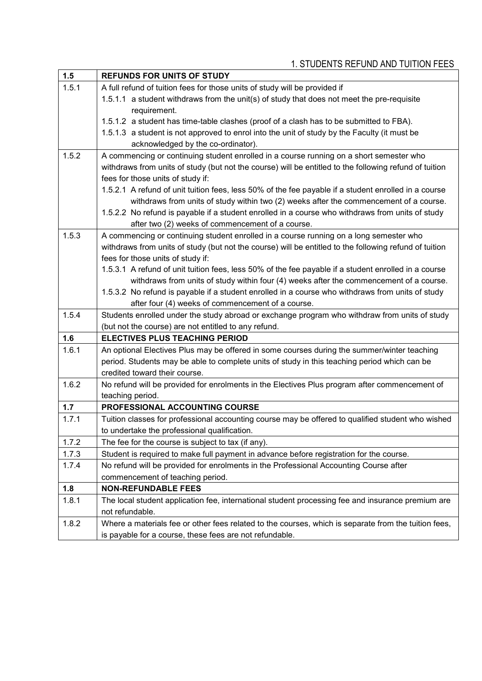| 1.5          | <b>REFUNDS FOR UNITS OF STUDY</b>                                                                                       |  |
|--------------|-------------------------------------------------------------------------------------------------------------------------|--|
| 1.5.1        | A full refund of tuition fees for those units of study will be provided if                                              |  |
|              | 1.5.1.1 a student withdraws from the unit(s) of study that does not meet the pre-requisite                              |  |
|              | requirement.                                                                                                            |  |
|              | 1.5.1.2 a student has time-table clashes (proof of a clash has to be submitted to FBA).                                 |  |
|              | 1.5.1.3 a student is not approved to enrol into the unit of study by the Faculty (it must be                            |  |
|              | acknowledged by the co-ordinator).                                                                                      |  |
| 1.5.2        | A commencing or continuing student enrolled in a course running on a short semester who                                 |  |
|              | withdraws from units of study (but not the course) will be entitled to the following refund of tuition                  |  |
|              | fees for those units of study if:                                                                                       |  |
|              | 1.5.2.1 A refund of unit tuition fees, less 50% of the fee payable if a student enrolled in a course                    |  |
|              | withdraws from units of study within two (2) weeks after the commencement of a course.                                  |  |
|              | 1.5.2.2 No refund is payable if a student enrolled in a course who withdraws from units of study                        |  |
|              | after two (2) weeks of commencement of a course.                                                                        |  |
| 1.5.3        | A commencing or continuing student enrolled in a course running on a long semester who                                  |  |
|              | withdraws from units of study (but not the course) will be entitled to the following refund of tuition                  |  |
|              | fees for those units of study if:                                                                                       |  |
|              | 1.5.3.1 A refund of unit tuition fees, less 50% of the fee payable if a student enrolled in a course                    |  |
|              | withdraws from units of study within four (4) weeks after the commencement of a course.                                 |  |
|              | 1.5.3.2 No refund is payable if a student enrolled in a course who withdraws from units of study                        |  |
|              | after four (4) weeks of commencement of a course.                                                                       |  |
| 1.5.4        | Students enrolled under the study abroad or exchange program who withdraw from units of study                           |  |
|              | (but not the course) are not entitled to any refund.                                                                    |  |
| 1.6          | <b>ELECTIVES PLUS TEACHING PERIOD</b>                                                                                   |  |
| 1.6.1        | An optional Electives Plus may be offered in some courses during the summer/winter teaching                             |  |
|              | period. Students may be able to complete units of study in this teaching period which can be                            |  |
|              | credited toward their course.                                                                                           |  |
| 1.6.2        | No refund will be provided for enrolments in the Electives Plus program after commencement of                           |  |
|              | teaching period.<br>PROFESSIONAL ACCOUNTING COURSE                                                                      |  |
| 1.7<br>1.7.1 | Tuition classes for professional accounting course may be offered to qualified student who wished                       |  |
|              | to undertake the professional qualification.                                                                            |  |
| 1.7.2        |                                                                                                                         |  |
|              | The fee for the course is subject to tax (if any).                                                                      |  |
| 1.7.3        | Student is required to make full payment in advance before registration for the course.                                 |  |
| 1.7.4        | No refund will be provided for enrolments in the Professional Accounting Course after                                   |  |
| 1.8          | commencement of teaching period.<br><b>NON-REFUNDABLE FEES</b>                                                          |  |
|              |                                                                                                                         |  |
| 1.8.1        | The local student application fee, international student processing fee and insurance premium are                       |  |
| 1.8.2        | not refundable.<br>Where a materials fee or other fees related to the courses, which is separate from the tuition fees, |  |
|              | is payable for a course, these fees are not refundable.                                                                 |  |
|              |                                                                                                                         |  |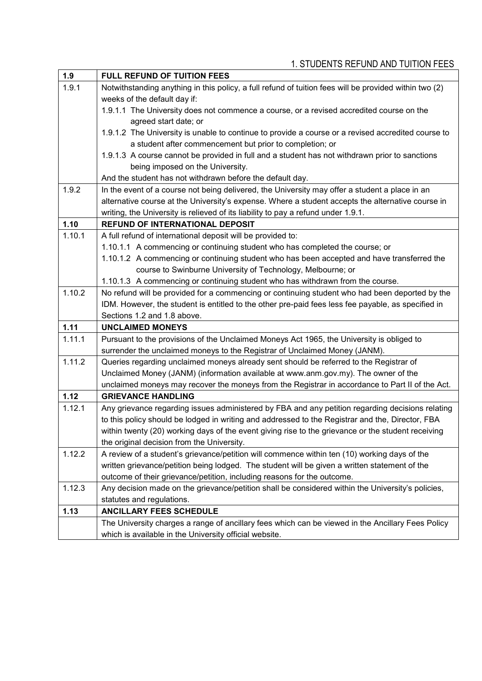| 1.9    | <b>FULL REFUND OF TUITION FEES</b>                                                                     |
|--------|--------------------------------------------------------------------------------------------------------|
| 1.9.1  | Notwithstanding anything in this policy, a full refund of tuition fees will be provided within two (2) |
|        | weeks of the default day if:                                                                           |
|        | 1.9.1.1 The University does not commence a course, or a revised accredited course on the               |
|        | agreed start date; or                                                                                  |
|        | 1.9.1.2 The University is unable to continue to provide a course or a revised accredited course to     |
|        | a student after commencement but prior to completion; or                                               |
|        | 1.9.1.3 A course cannot be provided in full and a student has not withdrawn prior to sanctions         |
|        | being imposed on the University.                                                                       |
|        | And the student has not withdrawn before the default day.                                              |
| 1.9.2  | In the event of a course not being delivered, the University may offer a student a place in an         |
|        | alternative course at the University's expense. Where a student accepts the alternative course in      |
|        | writing, the University is relieved of its liability to pay a refund under 1.9.1.                      |
| 1.10   | <b>REFUND OF INTERNATIONAL DEPOSIT</b>                                                                 |
| 1.10.1 | A full refund of international deposit will be provided to:                                            |
|        | 1.10.1.1 A commencing or continuing student who has completed the course; or                           |
|        | 1.10.1.2 A commencing or continuing student who has been accepted and have transferred the             |
|        | course to Swinburne University of Technology, Melbourne; or                                            |
|        | 1.10.1.3 A commencing or continuing student who has withdrawn from the course.                         |
| 1.10.2 | No refund will be provided for a commencing or continuing student who had been deported by the         |
|        | IDM. However, the student is entitled to the other pre-paid fees less fee payable, as specified in     |
|        | Sections 1.2 and 1.8 above.                                                                            |
| 1.11   | <b>UNCLAIMED MONEYS</b>                                                                                |
| 1.11.1 | Pursuant to the provisions of the Unclaimed Moneys Act 1965, the University is obliged to              |
|        | surrender the unclaimed moneys to the Registrar of Unclaimed Money (JANM).                             |
| 1.11.2 | Queries regarding unclaimed moneys already sent should be referred to the Registrar of                 |
|        | Unclaimed Money (JANM) (information available at www.anm.gov.my). The owner of the                     |
|        | unclaimed moneys may recover the moneys from the Registrar in accordance to Part II of the Act.        |
| 1.12   | <b>GRIEVANCE HANDLING</b>                                                                              |
| 1.12.1 | Any grievance regarding issues administered by FBA and any petition regarding decisions relating       |
|        | to this policy should be lodged in writing and addressed to the Registrar and the, Director, FBA       |
|        | within twenty (20) working days of the event giving rise to the grievance or the student receiving     |
|        | the original decision from the University.                                                             |
| 1.12.2 | A review of a student's grievance/petition will commence within ten (10) working days of the           |
|        | written grievance/petition being lodged. The student will be given a written statement of the          |
|        | outcome of their grievance/petition, including reasons for the outcome.                                |
| 1.12.3 | Any decision made on the grievance/petition shall be considered within the University's policies,      |
|        | statutes and regulations.                                                                              |
| 1.13   | <b>ANCILLARY FEES SCHEDULE</b>                                                                         |
|        | The University charges a range of ancillary fees which can be viewed in the Ancillary Fees Policy      |
|        | which is available in the University official website.                                                 |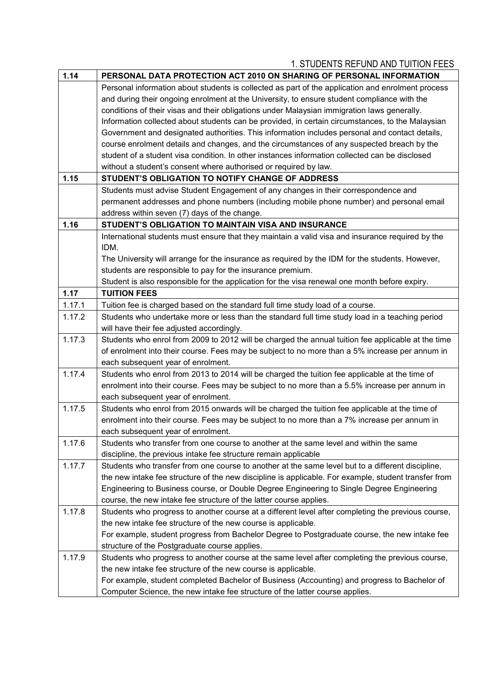| 1.14   | PERSONAL DATA PROTECTION ACT 2010 ON SHARING OF PERSONAL INFORMATION                                 |
|--------|------------------------------------------------------------------------------------------------------|
|        | Personal information about students is collected as part of the application and enrolment process    |
|        | and during their ongoing enrolment at the University, to ensure student compliance with the          |
|        | conditions of their visas and their obligations under Malaysian immigration laws generally.          |
|        | Information collected about students can be provided, in certain circumstances, to the Malaysian     |
|        | Government and designated authorities. This information includes personal and contact details,       |
|        | course enrolment details and changes, and the circumstances of any suspected breach by the           |
|        | student of a student visa condition. In other instances information collected can be disclosed       |
|        | without a student's consent where authorised or required by law.                                     |
| 1.15   | STUDENT'S OBLIGATION TO NOTIFY CHANGE OF ADDRESS                                                     |
|        | Students must advise Student Engagement of any changes in their correspondence and                   |
|        | permanent addresses and phone numbers (including mobile phone number) and personal email             |
|        | address within seven (7) days of the change.                                                         |
| 1.16   | STUDENT'S OBLIGATION TO MAINTAIN VISA AND INSURANCE                                                  |
|        | International students must ensure that they maintain a valid visa and insurance required by the     |
|        | IDM.                                                                                                 |
|        | The University will arrange for the insurance as required by the IDM for the students. However,      |
|        | students are responsible to pay for the insurance premium.                                           |
|        | Student is also responsible for the application for the visa renewal one month before expiry.        |
| 1.17   | <b>TUITION FEES</b>                                                                                  |
| 1.17.1 | Tuition fee is charged based on the standard full time study load of a course.                       |
| 1.17.2 | Students who undertake more or less than the standard full time study load in a teaching period      |
|        | will have their fee adjusted accordingly.                                                            |
| 1.17.3 | Students who enrol from 2009 to 2012 will be charged the annual tuition fee applicable at the time   |
|        | of enrolment into their course. Fees may be subject to no more than a 5% increase per annum in       |
|        | each subsequent year of enrolment.                                                                   |
| 1.17.4 | Students who enrol from 2013 to 2014 will be charged the tuition fee applicable at the time of       |
|        | enrolment into their course. Fees may be subject to no more than a 5.5% increase per annum in        |
|        | each subsequent year of enrolment.                                                                   |
| 1.17.5 | Students who enrol from 2015 onwards will be charged the tuition fee applicable at the time of       |
|        | enrolment into their course. Fees may be subject to no more than a 7% increase per annum in          |
|        | each subsequent year of enrolment.                                                                   |
| 1.17.6 | Students who transfer from one course to another at the same level and within the same               |
|        | discipline, the previous intake fee structure remain applicable                                      |
| 1.17.7 | Students who transfer from one course to another at the same level but to a different discipline,    |
|        | the new intake fee structure of the new discipline is applicable. For example, student transfer from |
|        | Engineering to Business course, or Double Degree Engineering to Single Degree Engineering            |
|        | course, the new intake fee structure of the latter course applies.                                   |
| 1.17.8 | Students who progress to another course at a different level after completing the previous course,   |
|        | the new intake fee structure of the new course is applicable.                                        |
|        | For example, student progress from Bachelor Degree to Postgraduate course, the new intake fee        |
|        | structure of the Postgraduate course applies.                                                        |
| 1.17.9 | Students who progress to another course at the same level after completing the previous course,      |
|        | the new intake fee structure of the new course is applicable.                                        |
|        | For example, student completed Bachelor of Business (Accounting) and progress to Bachelor of         |
|        | Computer Science, the new intake fee structure of the latter course applies.                         |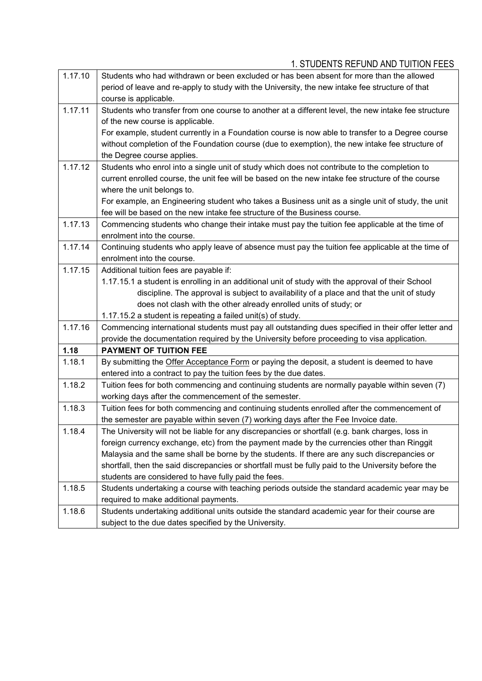| 1.17.10 | Students who had withdrawn or been excluded or has been absent for more than the allowed            |
|---------|-----------------------------------------------------------------------------------------------------|
|         | period of leave and re-apply to study with the University, the new intake fee structure of that     |
|         | course is applicable.                                                                               |
| 1.17.11 | Students who transfer from one course to another at a different level, the new intake fee structure |
|         | of the new course is applicable.                                                                    |
|         | For example, student currently in a Foundation course is now able to transfer to a Degree course    |
|         | without completion of the Foundation course (due to exemption), the new intake fee structure of     |
|         | the Degree course applies.                                                                          |
| 1.17.12 | Students who enrol into a single unit of study which does not contribute to the completion to       |
|         | current enrolled course, the unit fee will be based on the new intake fee structure of the course   |
|         | where the unit belongs to.                                                                          |
|         | For example, an Engineering student who takes a Business unit as a single unit of study, the unit   |
|         | fee will be based on the new intake fee structure of the Business course.                           |
| 1.17.13 | Commencing students who change their intake must pay the tuition fee applicable at the time of      |
|         | enrolment into the course.                                                                          |
| 1.17.14 | Continuing students who apply leave of absence must pay the tuition fee applicable at the time of   |
|         | enrolment into the course.                                                                          |
| 1.17.15 | Additional tuition fees are payable if:                                                             |
|         | 1.17.15.1 a student is enrolling in an additional unit of study with the approval of their School   |
|         | discipline. The approval is subject to availability of a place and that the unit of study           |
|         | does not clash with the other already enrolled units of study; or                                   |
|         | 1.17.15.2 a student is repeating a failed unit(s) of study.                                         |
| 1.17.16 | Commencing international students must pay all outstanding dues specified in their offer letter and |
|         | provide the documentation required by the University before proceeding to visa application.         |
| 1.18    | <b>PAYMENT OF TUITION FEE</b>                                                                       |
| 1.18.1  | By submitting the Offer Acceptance Form or paying the deposit, a student is deemed to have          |
|         | entered into a contract to pay the tuition fees by the due dates.                                   |
| 1.18.2  | Tuition fees for both commencing and continuing students are normally payable within seven (7)      |
|         | working days after the commencement of the semester.                                                |
| 1.18.3  | Tuition fees for both commencing and continuing students enrolled after the commencement of         |
|         | the semester are payable within seven (7) working days after the Fee Invoice date.                  |
| 1.18.4  | The University will not be liable for any discrepancies or shortfall (e.g. bank charges, loss in    |
|         | foreign currency exchange, etc) from the payment made by the currencies other than Ringgit          |
|         | Malaysia and the same shall be borne by the students. If there are any such discrepancies or        |
|         | shortfall, then the said discrepancies or shortfall must be fully paid to the University before the |
|         | students are considered to have fully paid the fees.                                                |
| 1.18.5  | Students undertaking a course with teaching periods outside the standard academic year may be       |
|         | required to make additional payments.                                                               |
| 1.18.6  | Students undertaking additional units outside the standard academic year for their course are       |
|         | subject to the due dates specified by the University.                                               |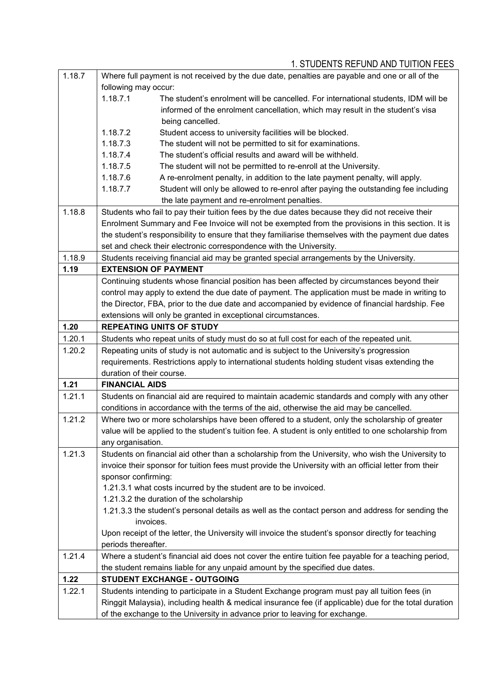| 1.18.7 | Where full payment is not received by the due date, penalties are payable and one or all of the |                                                                                                        |  |
|--------|-------------------------------------------------------------------------------------------------|--------------------------------------------------------------------------------------------------------|--|
|        | following may occur:                                                                            |                                                                                                        |  |
|        | 1.18.7.1                                                                                        | The student's enrolment will be cancelled. For international students, IDM will be                     |  |
|        |                                                                                                 | informed of the enrolment cancellation, which may result in the student's visa                         |  |
|        |                                                                                                 | being cancelled.                                                                                       |  |
|        | 1.18.7.2                                                                                        | Student access to university facilities will be blocked.                                               |  |
|        | 1.18.7.3                                                                                        | The student will not be permitted to sit for examinations.                                             |  |
|        | 1.18.7.4                                                                                        | The student's official results and award will be withheld.                                             |  |
|        | 1.18.7.5                                                                                        | The student will not be permitted to re-enroll at the University.                                      |  |
|        | 1.18.7.6                                                                                        | A re-enrolment penalty, in addition to the late payment penalty, will apply.                           |  |
|        | 1.18.7.7                                                                                        | Student will only be allowed to re-enrol after paying the outstanding fee including                    |  |
|        |                                                                                                 | the late payment and re-enrolment penalties.                                                           |  |
| 1.18.8 | Students who fail to pay their tuition fees by the due dates because they did not receive their |                                                                                                        |  |
|        |                                                                                                 | Enrolment Summary and Fee Invoice will not be exempted from the provisions in this section. It is      |  |
|        |                                                                                                 | the student's responsibility to ensure that they familiarise themselves with the payment due dates     |  |
|        |                                                                                                 | set and check their electronic correspondence with the University.                                     |  |
| 1.18.9 |                                                                                                 | Students receiving financial aid may be granted special arrangements by the University.                |  |
| 1.19   |                                                                                                 | <b>EXTENSION OF PAYMENT</b>                                                                            |  |
|        |                                                                                                 | Continuing students whose financial position has been affected by circumstances beyond their           |  |
|        |                                                                                                 | control may apply to extend the due date of payment. The application must be made in writing to        |  |
|        |                                                                                                 | the Director, FBA, prior to the due date and accompanied by evidence of financial hardship. Fee        |  |
|        |                                                                                                 | extensions will only be granted in exceptional circumstances.                                          |  |
| 1.20   |                                                                                                 | <b>REPEATING UNITS OF STUDY</b>                                                                        |  |
| 1.20.1 |                                                                                                 | Students who repeat units of study must do so at full cost for each of the repeated unit.              |  |
| 1.20.2 |                                                                                                 | Repeating units of study is not automatic and is subject to the University's progression               |  |
|        |                                                                                                 | requirements. Restrictions apply to international students holding student visas extending the         |  |
|        | duration of their course.                                                                       |                                                                                                        |  |
| 1.21   | <b>FINANCIAL AIDS</b>                                                                           |                                                                                                        |  |
| 1.21.1 |                                                                                                 | Students on financial aid are required to maintain academic standards and comply with any other        |  |
|        |                                                                                                 | conditions in accordance with the terms of the aid, otherwise the aid may be cancelled.                |  |
| 1.21.2 |                                                                                                 | Where two or more scholarships have been offered to a student, only the scholarship of greater         |  |
|        |                                                                                                 | value will be applied to the student's tuition fee. A student is only entitled to one scholarship from |  |
|        | any organisation.                                                                               |                                                                                                        |  |
| 1.21.3 |                                                                                                 | Students on financial aid other than a scholarship from the University, who wish the University to     |  |
|        |                                                                                                 | invoice their sponsor for tuition fees must provide the University with an official letter from their  |  |
|        | sponsor confirming:                                                                             |                                                                                                        |  |
|        |                                                                                                 | 1.21.3.1 what costs incurred by the student are to be invoiced.                                        |  |
|        |                                                                                                 | 1.21.3.2 the duration of the scholarship                                                               |  |
|        | invoices.                                                                                       | 1.21.3.3 the student's personal details as well as the contact person and address for sending the      |  |
|        |                                                                                                 | Upon receipt of the letter, the University will invoice the student's sponsor directly for teaching    |  |
|        | periods thereafter.                                                                             |                                                                                                        |  |
| 1.21.4 |                                                                                                 | Where a student's financial aid does not cover the entire tuition fee payable for a teaching period,   |  |
|        |                                                                                                 | the student remains liable for any unpaid amount by the specified due dates.                           |  |
| 1.22   |                                                                                                 | STUDENT EXCHANGE - OUTGOING                                                                            |  |
| 1.22.1 |                                                                                                 | Students intending to participate in a Student Exchange program must pay all tuition fees (in          |  |
|        |                                                                                                 | Ringgit Malaysia), including health & medical insurance fee (if applicable) due for the total duration |  |
|        |                                                                                                 | of the exchange to the University in advance prior to leaving for exchange.                            |  |
|        |                                                                                                 |                                                                                                        |  |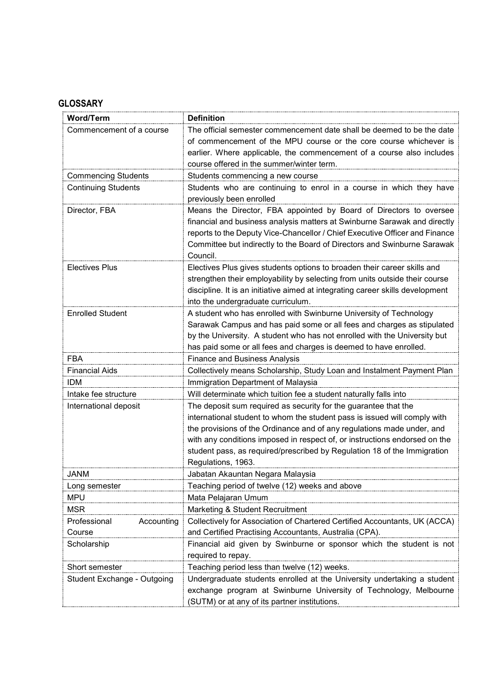# **GLOSSARY**

| <b>Word/Term</b>            | <b>Definition</b>                                                              |
|-----------------------------|--------------------------------------------------------------------------------|
| Commencement of a course    | The official semester commencement date shall be deemed to be the date         |
|                             | of commencement of the MPU course or the core course whichever is              |
|                             | earlier. Where applicable, the commencement of a course also includes          |
|                             | course offered in the summer/winter term.                                      |
| <b>Commencing Students</b>  | Students commencing a new course                                               |
| <b>Continuing Students</b>  | Students who are continuing to enrol in a course in which they have            |
|                             | previously been enrolled                                                       |
| Director, FBA               | Means the Director, FBA appointed by Board of Directors to oversee             |
|                             | financial and business analysis matters at Swinburne Sarawak and directly      |
|                             | reports to the Deputy Vice-Chancellor / Chief Executive Officer and Finance    |
|                             | Committee but indirectly to the Board of Directors and Swinburne Sarawak       |
|                             | Council.                                                                       |
| <b>Electives Plus</b>       | Electives Plus gives students options to broaden their career skills and       |
|                             | strengthen their employability by selecting from units outside their course    |
|                             | discipline. It is an initiative aimed at integrating career skills development |
|                             | into the undergraduate curriculum.                                             |
| <b>Enrolled Student</b>     | A student who has enrolled with Swinburne University of Technology             |
|                             | Sarawak Campus and has paid some or all fees and charges as stipulated         |
|                             | by the University. A student who has not enrolled with the University but      |
|                             | has paid some or all fees and charges is deemed to have enrolled.              |
| <b>FBA</b>                  | <b>Finance and Business Analysis</b>                                           |
| <b>Financial Aids</b>       | Collectively means Scholarship, Study Loan and Instalment Payment Plan         |
| <b>IDM</b>                  | Immigration Department of Malaysia                                             |
| Intake fee structure        | Will determinate which tuition fee a student naturally falls into              |
| International deposit       | The deposit sum required as security for the guarantee that the                |
|                             | international student to whom the student pass is issued will comply with      |
|                             | the provisions of the Ordinance and of any regulations made under, and         |
|                             | with any conditions imposed in respect of, or instructions endorsed on the     |
|                             | student pass, as required/prescribed by Regulation 18 of the Immigration       |
|                             | Regulations, 1963.                                                             |
| JANM                        | Jabatan Akauntan Negara Malaysia                                               |
| Long semester               | Teaching period of twelve (12) weeks and above                                 |
| <b>MPU</b>                  | Mata Pelajaran Umum                                                            |
| <b>MSR</b>                  | Marketing & Student Recruitment                                                |
| Professional<br>Accounting  | Collectively for Association of Chartered Certified Accountants, UK (ACCA)     |
| Course                      | and Certified Practising Accountants, Australia (CPA).                         |
| Scholarship                 | Financial aid given by Swinburne or sponsor which the student is not           |
|                             | required to repay.                                                             |
| Short semester              | Teaching period less than twelve (12) weeks.                                   |
| Student Exchange - Outgoing | Undergraduate students enrolled at the University undertaking a student        |
|                             | exchange program at Swinburne University of Technology, Melbourne              |
|                             | (SUTM) or at any of its partner institutions.                                  |